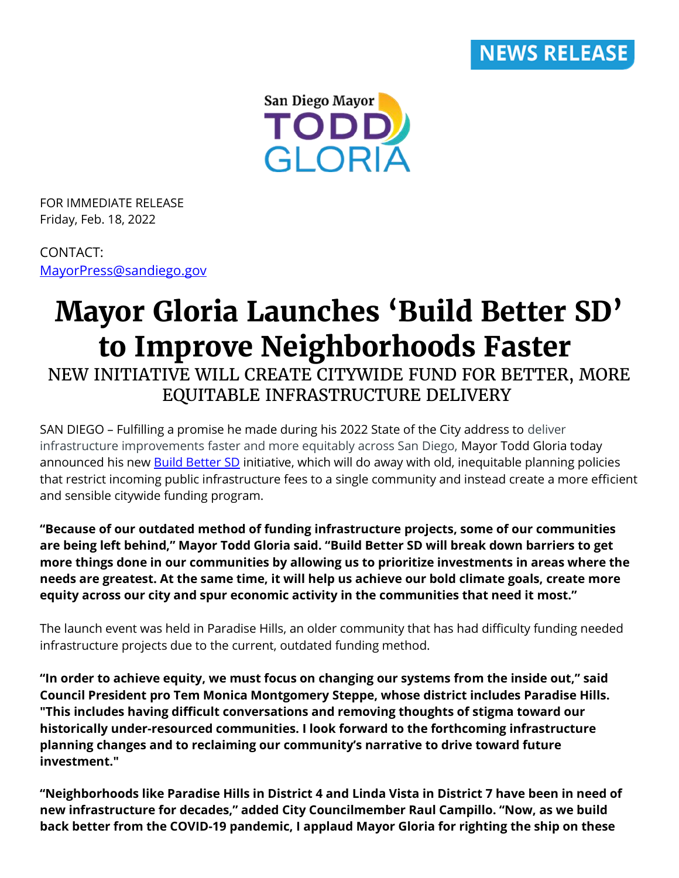



FOR IMMEDIATE RELEASE Friday, Feb. 18, 2022

## CONTACT: [MayorPress@sandiego.gov](mailto:MayorPress@sandiego.gov)

## **Mayor Gloria Launches 'Build Better SD' to Improve Neighborhoods Faster**

NEW INITIATIVE WILL CREATE CITYWIDE FUND FOR BETTER, MORE EQUITABLE INFRASTRUCTURE DELIVERY

SAN DIEGO – Fulfilling a promise he made during his 2022 State of the City address to deliver infrastructure improvements faster and more equitably across San Diego, Mayor Todd Gloria today announced his new **Build Better SD** initiative, which will do away with old, inequitable planning policies that restrict incoming public infrastructure fees to a single community and instead create a more efficient and sensible citywide funding program.

**"Because of our outdated method of funding infrastructure projects, some of our communities are being left behind," Mayor Todd Gloria said. "Build Better SD will break down barriers to get more things done in our communities by allowing us to prioritize investments in areas where the needs are greatest. At the same time, it will help us achieve our bold climate goals, create more equity across our city and spur economic activity in the communities that need it most."**

The launch event was held in Paradise Hills, an older community that has had difficulty funding needed infrastructure projects due to the current, outdated funding method.

**"In order to achieve equity, we must focus on changing our systems from the inside out," said Council President pro Tem Monica Montgomery Steppe, whose district includes Paradise Hills. "This includes having difficult conversations and removing thoughts of stigma toward our historically under-resourced communities. I look forward to the forthcoming infrastructure planning changes and to reclaiming our community's narrative to drive toward future investment."**

**"Neighborhoods like Paradise Hills in District 4 and Linda Vista in District 7 have been in need of new infrastructure for decades," added City Councilmember Raul Campillo. "Now, as we build back better from the COVID-19 pandemic, I applaud Mayor Gloria for righting the ship on these**